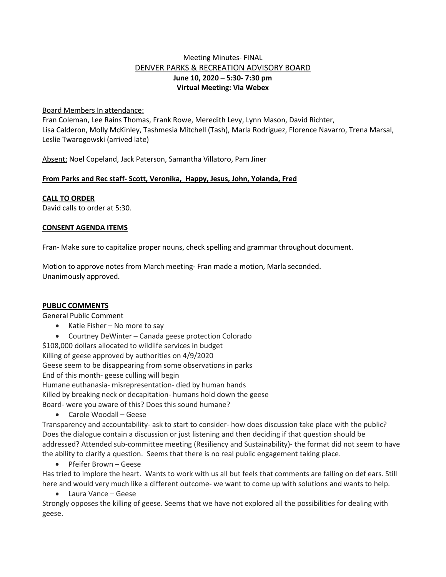# Meeting Minutes- FINAL DENVER PARKS & RECREATION ADVISORY BOARD **June 10, 2020 – 5:30- 7:30 pm Virtual Meeting: Via Webex**

Board Members In attendance:

Fran Coleman, Lee Rains Thomas, Frank Rowe, Meredith Levy, Lynn Mason, David Richter, Lisa Calderon, Molly McKinley, Tashmesia Mitchell (Tash), Marla Rodriguez, Florence Navarro, Trena Marsal, Leslie Twarogowski (arrived late)

Absent: Noel Copeland, Jack Paterson, Samantha Villatoro, Pam Jiner

# **From Parks and Rec staff- Scott, Veronika, Happy, Jesus, John, Yolanda, Fred**

**CALL TO ORDER**

David calls to order at 5:30.

## **CONSENT AGENDA ITEMS**

Fran- Make sure to capitalize proper nouns, check spelling and grammar throughout document.

Motion to approve notes from March meeting- Fran made a motion, Marla seconded. Unanimously approved.

## **PUBLIC COMMENTS**

General Public Comment

- Katie Fisher No more to say
- Courtney DeWinter Canada geese protection Colorado

\$108,000 dollars allocated to wildlife services in budget

Killing of geese approved by authorities on 4/9/2020

Geese seem to be disappearing from some observations in parks

End of this month- geese culling will begin

Humane euthanasia- misrepresentation- died by human hands

Killed by breaking neck or decapitation- humans hold down the geese

Board- were you aware of this? Does this sound humane?

• Carole Woodall – Geese

Transparency and accountability- ask to start to consider- how does discussion take place with the public? Does the dialogue contain a discussion or just listening and then deciding if that question should be addressed? Attended sub-committee meeting (Resiliency and Sustainability)- the format did not seem to have the ability to clarify a question. Seems that there is no real public engagement taking place.

• Pfeifer Brown – Geese

Has tried to implore the heart. Wants to work with us all but feels that comments are falling on def ears. Still here and would very much like a different outcome- we want to come up with solutions and wants to help.

• Laura Vance – Geese

Strongly opposes the killing of geese. Seems that we have not explored all the possibilities for dealing with geese.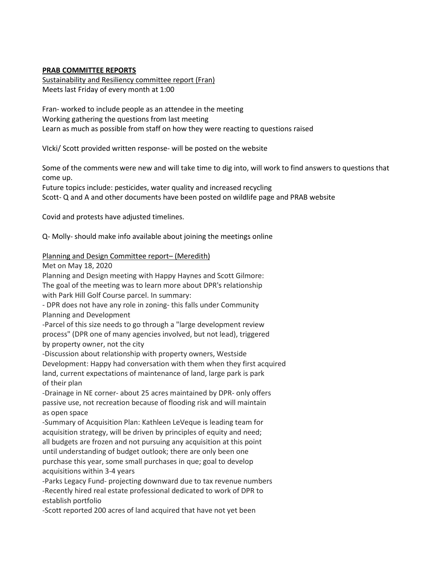## **PRAB COMMITTEE REPORTS**

Sustainability and Resiliency committee report (Fran) Meets last Friday of every month at 1:00

Fran- worked to include people as an attendee in the meeting Working gathering the questions from last meeting Learn as much as possible from staff on how they were reacting to questions raised

VIcki/ Scott provided written response- will be posted on the website

Some of the comments were new and will take time to dig into, will work to find answers to questions that come up.

Future topics include: pesticides, water quality and increased recycling Scott- Q and A and other documents have been posted on wildlife page and PRAB website

Covid and protests have adjusted timelines.

Q- Molly- should make info available about joining the meetings online

## Planning and Design Committee report– (Meredith)

Met on May 18, 2020

Planning and Design meeting with Happy Haynes and Scott Gilmore:

The goal of the meeting was to learn more about DPR's relationship with Park Hill Golf Course parcel. In summary:

- DPR does not have any role in zoning- this falls under Community Planning and Development

-Parcel of this size needs to go through a "large development review process" (DPR one of many agencies involved, but not lead), triggered by property owner, not the city

-Discussion about relationship with property owners, Westside Development: Happy had conversation with them when they first acquired land, current expectations of maintenance of land, large park is park of their plan

-Drainage in NE corner- about 25 acres maintained by DPR- only offers passive use, not recreation because of flooding risk and will maintain as open space

-Summary of Acquisition Plan: Kathleen LeVeque is leading team for acquisition strategy, will be driven by principles of equity and need; all budgets are frozen and not pursuing any acquisition at this point until understanding of budget outlook; there are only been one purchase this year, some small purchases in que; goal to develop acquisitions within 3-4 years

-Parks Legacy Fund- projecting downward due to tax revenue numbers -Recently hired real estate professional dedicated to work of DPR to establish portfolio

-Scott reported 200 acres of land acquired that have not yet been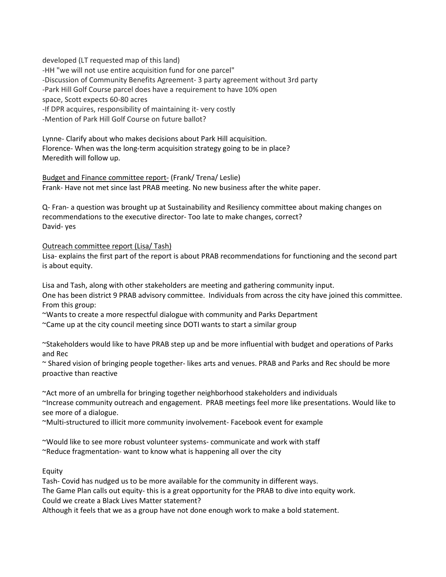developed (LT requested map of this land) -HH "we will not use entire acquisition fund for one parcel" -Discussion of Community Benefits Agreement- 3 party agreement without 3rd party -Park Hill Golf Course parcel does have a requirement to have 10% open space, Scott expects 60-80 acres -If DPR acquires, responsibility of maintaining it- very costly -Mention of Park Hill Golf Course on future ballot?

Lynne- Clarify about who makes decisions about Park Hill acquisition. Florence- When was the long-term acquisition strategy going to be in place? Meredith will follow up.

Budget and Finance committee report- (Frank/ Trena/ Leslie) Frank- Have not met since last PRAB meeting. No new business after the white paper.

Q- Fran- a question was brought up at Sustainability and Resiliency committee about making changes on recommendations to the executive director- Too late to make changes, correct? David- yes

Outreach committee report (Lisa/ Tash)

Lisa- explains the first part of the report is about PRAB recommendations for functioning and the second part is about equity.

Lisa and Tash, along with other stakeholders are meeting and gathering community input. One has been district 9 PRAB advisory committee. Individuals from across the city have joined this committee. From this group:

~Wants to create a more respectful dialogue with community and Parks Department

~Came up at the city council meeting since DOTI wants to start a similar group

~Stakeholders would like to have PRAB step up and be more influential with budget and operations of Parks and Rec

~ Shared vision of bringing people together- likes arts and venues. PRAB and Parks and Rec should be more proactive than reactive

~Act more of an umbrella for bringing together neighborhood stakeholders and individuals ~Increase community outreach and engagement. PRAB meetings feel more like presentations. Would like to see more of a dialogue.

~Multi-structured to illicit more community involvement- Facebook event for example

~Would like to see more robust volunteer systems- communicate and work with staff ~Reduce fragmentation- want to know what is happening all over the city

Equity

Tash- Covid has nudged us to be more available for the community in different ways. The Game Plan calls out equity- this is a great opportunity for the PRAB to dive into equity work. Could we create a Black Lives Matter statement? Although it feels that we as a group have not done enough work to make a bold statement.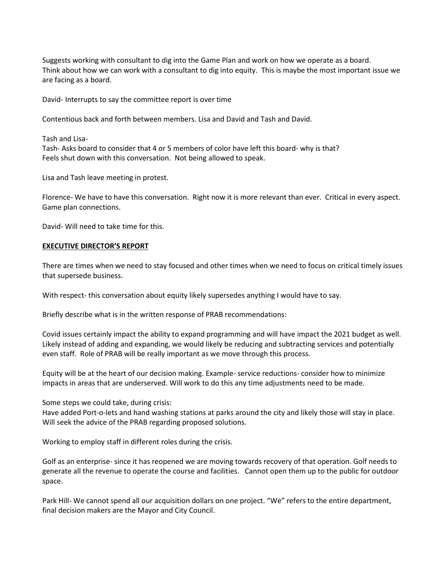Suggests working with consultant to dig into the Game Plan and work on how we operate as a board. Think about how we can work with a consultant to dig into equity. This is maybe the most important issue we are facing as a board.

David- Interrupts to say the committee report is over time

Contentious back and forth between members. Lisa and David and Tash and David.

Tash and Lisa-Tash- Asks board to consider that 4 or 5 members of color have left this board- why is that? Feels shut down with this conversation. Not being allowed to speak.

Lisa and Tash leave meeting in protest.

Florence- We have to have this conversation. Right now it is more relevant than ever. Critical in every aspect. Game plan connections.

David- Will need to take time for this.

### **EXECUTIVE DIRECTOR'S REPORT**

There are times when we need to stay focused and other times when we need to focus on critical timely issues that supersede business.

With respect- this conversation about equity likely supersedes anything I would have to say.

Briefly describe what is in the written response of PRAB recommendations:

Covid issues certainly impact the ability to expand programming and will have impact the 2021 budget as well. Likely instead of adding and expanding, we would likely be reducing and subtracting services and potentially even staff. Role of PRAB will be really important as we move through this process.

Equity will be at the heart of our decision making. Example- service reductions- consider how to minimize impacts in areas that are underserved. Will work to do this any time adjustments need to be made.

Some steps we could take, during crisis:

Have added Port-o-lets and hand washing stations at parks around the city and likely those will stay in place. Will seek the advice of the PRAB regarding proposed solutions.

Working to employ staff in different roles during the crisis.

Golf as an enterprise- since it has reopened we are moving towards recovery of that operation. Golf needs to generate all the revenue to operate the course and facilities. Cannot open them up to the public for outdoor space.

Park Hill- We cannot spend all our acquisition dollars on one project. "We" refers to the entire department, final decision makers are the Mayor and City Council.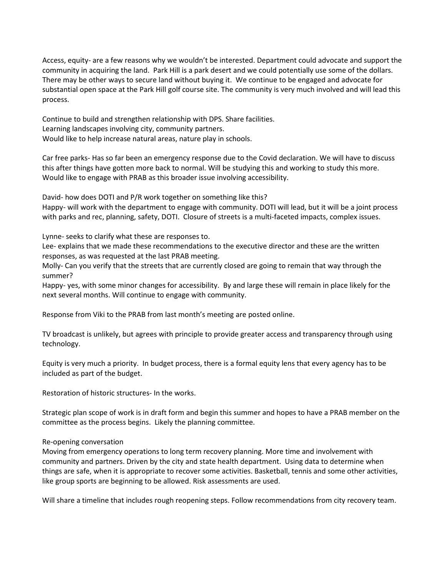Access, equity- are a few reasons why we wouldn't be interested. Department could advocate and support the community in acquiring the land. Park Hill is a park desert and we could potentially use some of the dollars. There may be other ways to secure land without buying it. We continue to be engaged and advocate for substantial open space at the Park Hill golf course site. The community is very much involved and will lead this process.

Continue to build and strengthen relationship with DPS. Share facilities. Learning landscapes involving city, community partners. Would like to help increase natural areas, nature play in schools.

Car free parks- Has so far been an emergency response due to the Covid declaration. We will have to discuss this after things have gotten more back to normal. Will be studying this and working to study this more. Would like to engage with PRAB as this broader issue involving accessibility.

David- how does DOTI and P/R work together on something like this?

Happy- will work with the department to engage with community. DOTI will lead, but it will be a joint process with parks and rec, planning, safety, DOTI. Closure of streets is a multi-faceted impacts, complex issues.

Lynne- seeks to clarify what these are responses to.

Lee- explains that we made these recommendations to the executive director and these are the written responses, as was requested at the last PRAB meeting.

Molly- Can you verify that the streets that are currently closed are going to remain that way through the summer?

Happy- yes, with some minor changes for accessibility. By and large these will remain in place likely for the next several months. Will continue to engage with community.

Response from Viki to the PRAB from last month's meeting are posted online.

TV broadcast is unlikely, but agrees with principle to provide greater access and transparency through using technology.

Equity is very much a priority. In budget process, there is a formal equity lens that every agency has to be included as part of the budget.

Restoration of historic structures- In the works.

Strategic plan scope of work is in draft form and begin this summer and hopes to have a PRAB member on the committee as the process begins. Likely the planning committee.

### Re-opening conversation

Moving from emergency operations to long term recovery planning. More time and involvement with community and partners. Driven by the city and state health department. Using data to determine when things are safe, when it is appropriate to recover some activities. Basketball, tennis and some other activities, like group sports are beginning to be allowed. Risk assessments are used.

Will share a timeline that includes rough reopening steps. Follow recommendations from city recovery team.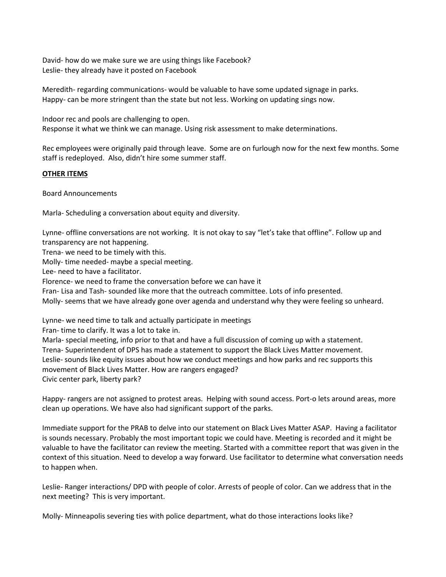David- how do we make sure we are using things like Facebook? Leslie- they already have it posted on Facebook

Meredith- regarding communications- would be valuable to have some updated signage in parks. Happy- can be more stringent than the state but not less. Working on updating sings now.

Indoor rec and pools are challenging to open. Response it what we think we can manage. Using risk assessment to make determinations.

Rec employees were originally paid through leave. Some are on furlough now for the next few months. Some staff is redeployed. Also, didn't hire some summer staff.

## **OTHER ITEMS**

Board Announcements

Marla- Scheduling a conversation about equity and diversity.

Lynne- offline conversations are not working. It is not okay to say "let's take that offline". Follow up and transparency are not happening.

Trena- we need to be timely with this.

Molly- time needed- maybe a special meeting.

Lee- need to have a facilitator.

Florence- we need to frame the conversation before we can have it

Fran- Lisa and Tash- sounded like more that the outreach committee. Lots of info presented.

Molly- seems that we have already gone over agenda and understand why they were feeling so unheard.

Lynne- we need time to talk and actually participate in meetings

Fran- time to clarify. It was a lot to take in.

Marla- special meeting, info prior to that and have a full discussion of coming up with a statement. Trena- Superintendent of DPS has made a statement to support the Black Lives Matter movement. Leslie- sounds like equity issues about how we conduct meetings and how parks and rec supports this movement of Black Lives Matter. How are rangers engaged? Civic center park, liberty park?

Happy- rangers are not assigned to protest areas. Helping with sound access. Port-o lets around areas, more clean up operations. We have also had significant support of the parks.

Immediate support for the PRAB to delve into our statement on Black Lives Matter ASAP. Having a facilitator is sounds necessary. Probably the most important topic we could have. Meeting is recorded and it might be valuable to have the facilitator can review the meeting. Started with a committee report that was given in the context of this situation. Need to develop a way forward. Use facilitator to determine what conversation needs to happen when.

Leslie- Ranger interactions/ DPD with people of color. Arrests of people of color. Can we address that in the next meeting? This is very important.

Molly- Minneapolis severing ties with police department, what do those interactions looks like?